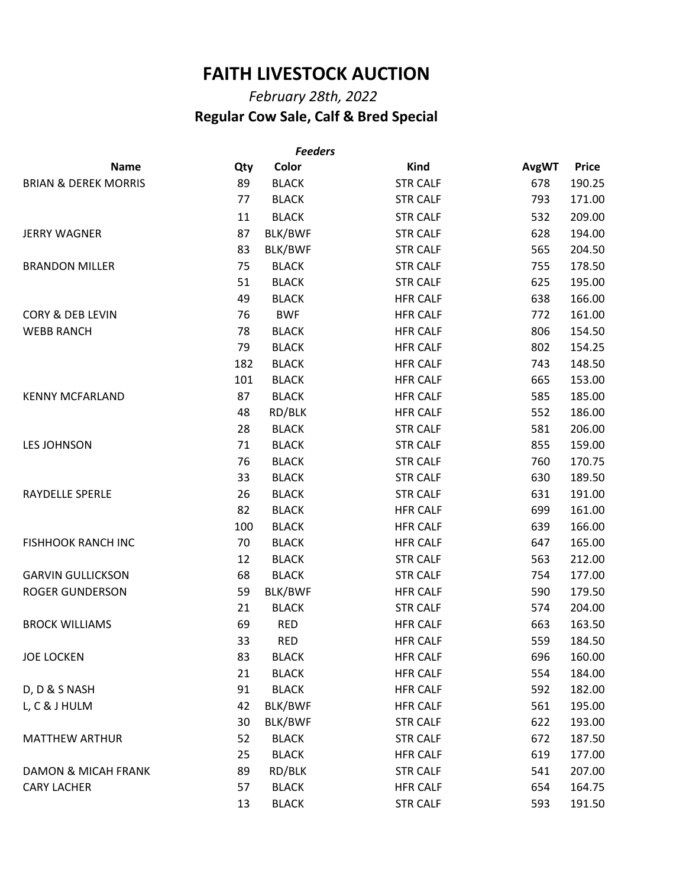## **FAITH LIVESTOCK AUCTION**

## *February 28th, 2022*  **Regular Cow Sale, Calf & Bred Special**

| <b>Feeders</b>                  |     |                |                 |              |              |  |  |
|---------------------------------|-----|----------------|-----------------|--------------|--------------|--|--|
| <b>Name</b>                     | Qty | Color          | <b>Kind</b>     | <b>AvgWT</b> | <b>Price</b> |  |  |
| <b>BRIAN &amp; DEREK MORRIS</b> | 89  | <b>BLACK</b>   | <b>STR CALF</b> | 678          | 190.25       |  |  |
|                                 | 77  | <b>BLACK</b>   | <b>STR CALF</b> | 793          | 171.00       |  |  |
|                                 | 11  | <b>BLACK</b>   | <b>STR CALF</b> | 532          | 209.00       |  |  |
| <b>JERRY WAGNER</b>             | 87  | BLK/BWF        | <b>STR CALF</b> | 628          | 194.00       |  |  |
|                                 | 83  | <b>BLK/BWF</b> | <b>STR CALF</b> | 565          | 204.50       |  |  |
| <b>BRANDON MILLER</b>           | 75  | <b>BLACK</b>   | <b>STR CALF</b> | 755          | 178.50       |  |  |
|                                 | 51  | <b>BLACK</b>   | <b>STR CALF</b> | 625          | 195.00       |  |  |
|                                 | 49  | <b>BLACK</b>   | <b>HFR CALF</b> | 638          | 166.00       |  |  |
| <b>CORY &amp; DEB LEVIN</b>     | 76  | <b>BWF</b>     | <b>HFR CALF</b> | 772          | 161.00       |  |  |
| <b>WEBB RANCH</b>               | 78  | <b>BLACK</b>   | <b>HFR CALF</b> | 806          | 154.50       |  |  |
|                                 | 79  | <b>BLACK</b>   | <b>HFR CALF</b> | 802          | 154.25       |  |  |
|                                 | 182 | <b>BLACK</b>   | <b>HFR CALF</b> | 743          | 148.50       |  |  |
|                                 | 101 | <b>BLACK</b>   | <b>HFR CALF</b> | 665          | 153.00       |  |  |
| <b>KENNY MCFARLAND</b>          | 87  | <b>BLACK</b>   | <b>HFR CALF</b> | 585          | 185.00       |  |  |
|                                 | 48  | RD/BLK         | <b>HFR CALF</b> | 552          | 186.00       |  |  |
|                                 | 28  | <b>BLACK</b>   | <b>STR CALF</b> | 581          | 206.00       |  |  |
| <b>LES JOHNSON</b>              | 71  | <b>BLACK</b>   | <b>STR CALF</b> | 855          | 159.00       |  |  |
|                                 | 76  | <b>BLACK</b>   | <b>STR CALF</b> | 760          | 170.75       |  |  |
|                                 | 33  | <b>BLACK</b>   | <b>STR CALF</b> | 630          | 189.50       |  |  |
| RAYDELLE SPERLE                 | 26  | <b>BLACK</b>   | <b>STR CALF</b> | 631          | 191.00       |  |  |
|                                 | 82  | <b>BLACK</b>   | <b>HFR CALF</b> | 699          | 161.00       |  |  |
|                                 | 100 | <b>BLACK</b>   | <b>HFR CALF</b> | 639          | 166.00       |  |  |
| <b>FISHHOOK RANCH INC</b>       | 70  | <b>BLACK</b>   | <b>HFR CALF</b> | 647          | 165.00       |  |  |
|                                 | 12  | <b>BLACK</b>   | <b>STR CALF</b> | 563          | 212.00       |  |  |
| <b>GARVIN GULLICKSON</b>        | 68  | <b>BLACK</b>   | <b>STR CALF</b> | 754          | 177.00       |  |  |
| <b>ROGER GUNDERSON</b>          | 59  | BLK/BWF        | <b>HFR CALF</b> | 590          | 179.50       |  |  |
|                                 | 21  | <b>BLACK</b>   | <b>STR CALF</b> | 574          | 204.00       |  |  |
| <b>BROCK WILLIAMS</b>           | 69  | <b>RED</b>     | <b>HFR CALF</b> | 663          | 163.50       |  |  |
|                                 | 33  | <b>RED</b>     | <b>HFR CALF</b> | 559          | 184.50       |  |  |
| <b>JOE LOCKEN</b>               | 83  | <b>BLACK</b>   | <b>HFR CALF</b> | 696          | 160.00       |  |  |
|                                 | 21  | <b>BLACK</b>   | <b>HFR CALF</b> | 554          | 184.00       |  |  |
| D, D & S NASH                   | 91  | <b>BLACK</b>   | <b>HFR CALF</b> | 592          | 182.00       |  |  |
| L, C & J HULM                   | 42  | BLK/BWF        | <b>HFR CALF</b> | 561          | 195.00       |  |  |
|                                 | 30  | BLK/BWF        | <b>STR CALF</b> | 622          | 193.00       |  |  |
| <b>MATTHEW ARTHUR</b>           | 52  | <b>BLACK</b>   | <b>STR CALF</b> | 672          | 187.50       |  |  |
|                                 | 25  | <b>BLACK</b>   | <b>HFR CALF</b> | 619          | 177.00       |  |  |
| <b>DAMON &amp; MICAH FRANK</b>  | 89  | RD/BLK         | <b>STR CALF</b> | 541          | 207.00       |  |  |
| <b>CARY LACHER</b>              | 57  | <b>BLACK</b>   | <b>HFR CALF</b> | 654          | 164.75       |  |  |
|                                 | 13  | <b>BLACK</b>   | <b>STR CALF</b> | 593          | 191.50       |  |  |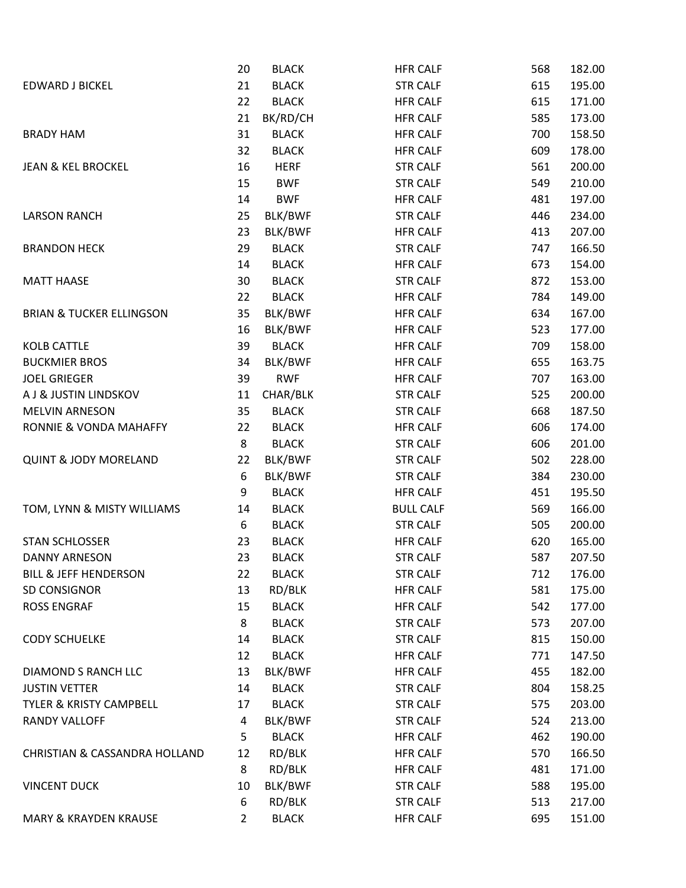|                                          | 20             | <b>BLACK</b> | <b>HFR CALF</b>  | 568 | 182.00 |
|------------------------------------------|----------------|--------------|------------------|-----|--------|
| <b>EDWARD J BICKEL</b>                   | 21             | <b>BLACK</b> | <b>STR CALF</b>  | 615 | 195.00 |
|                                          | 22             | <b>BLACK</b> | <b>HFR CALF</b>  | 615 | 171.00 |
|                                          | 21             | BK/RD/CH     | <b>HFR CALF</b>  | 585 | 173.00 |
| <b>BRADY HAM</b>                         | 31             | <b>BLACK</b> | <b>HFR CALF</b>  | 700 | 158.50 |
|                                          | 32             | <b>BLACK</b> | <b>HFR CALF</b>  | 609 | 178.00 |
| <b>JEAN &amp; KEL BROCKEL</b>            | 16             | <b>HERF</b>  | <b>STR CALF</b>  | 561 | 200.00 |
|                                          | 15             | <b>BWF</b>   | <b>STR CALF</b>  | 549 | 210.00 |
|                                          | 14             | <b>BWF</b>   | <b>HFR CALF</b>  | 481 | 197.00 |
| <b>LARSON RANCH</b>                      | 25             | BLK/BWF      | <b>STR CALF</b>  | 446 | 234.00 |
|                                          | 23             | BLK/BWF      | <b>HFR CALF</b>  | 413 | 207.00 |
| <b>BRANDON HECK</b>                      | 29             | <b>BLACK</b> | <b>STR CALF</b>  | 747 | 166.50 |
|                                          | 14             | <b>BLACK</b> | <b>HFR CALF</b>  | 673 | 154.00 |
| <b>MATT HAASE</b>                        | 30             | <b>BLACK</b> | <b>STR CALF</b>  | 872 | 153.00 |
|                                          | 22             | <b>BLACK</b> | <b>HFR CALF</b>  | 784 | 149.00 |
| <b>BRIAN &amp; TUCKER ELLINGSON</b>      | 35             | BLK/BWF      | <b>HFR CALF</b>  | 634 | 167.00 |
|                                          | 16             | BLK/BWF      | <b>HFR CALF</b>  | 523 | 177.00 |
| <b>KOLB CATTLE</b>                       | 39             | <b>BLACK</b> | <b>HFR CALF</b>  | 709 | 158.00 |
| <b>BUCKMIER BROS</b>                     | 34             | BLK/BWF      | <b>HFR CALF</b>  | 655 | 163.75 |
| <b>JOEL GRIEGER</b>                      | 39             | <b>RWF</b>   | <b>HFR CALF</b>  | 707 | 163.00 |
| A J & JUSTIN LINDSKOV                    | 11             | CHAR/BLK     | <b>STR CALF</b>  | 525 | 200.00 |
| <b>MELVIN ARNESON</b>                    | 35             | <b>BLACK</b> | <b>STR CALF</b>  | 668 | 187.50 |
| RONNIE & VONDA MAHAFFY                   | 22             | <b>BLACK</b> | <b>HFR CALF</b>  | 606 | 174.00 |
|                                          | 8              | <b>BLACK</b> | <b>STR CALF</b>  | 606 | 201.00 |
| <b>QUINT &amp; JODY MORELAND</b>         | 22             | BLK/BWF      | <b>STR CALF</b>  | 502 | 228.00 |
|                                          | 6              | BLK/BWF      | <b>STR CALF</b>  | 384 | 230.00 |
|                                          | 9              | <b>BLACK</b> | <b>HFR CALF</b>  | 451 | 195.50 |
| TOM, LYNN & MISTY WILLIAMS               | 14             | <b>BLACK</b> | <b>BULL CALF</b> | 569 | 166.00 |
|                                          | 6              | <b>BLACK</b> | <b>STR CALF</b>  | 505 | 200.00 |
| <b>STAN SCHLOSSER</b>                    | 23             | <b>BLACK</b> | <b>HFR CALF</b>  | 620 | 165.00 |
| <b>DANNY ARNESON</b>                     | 23             | <b>BLACK</b> | <b>STR CALF</b>  | 587 | 207.50 |
| <b>BILL &amp; JEFF HENDERSON</b>         | 22             | <b>BLACK</b> | <b>STR CALF</b>  | 712 | 176.00 |
| SD CONSIGNOR                             | 13             | RD/BLK       | <b>HFR CALF</b>  | 581 | 175.00 |
| <b>ROSS ENGRAF</b>                       | 15             | <b>BLACK</b> | <b>HFR CALF</b>  | 542 | 177.00 |
|                                          | 8              | <b>BLACK</b> | <b>STR CALF</b>  | 573 | 207.00 |
| <b>CODY SCHUELKE</b>                     | 14             | <b>BLACK</b> | <b>STR CALF</b>  | 815 | 150.00 |
|                                          | 12             | <b>BLACK</b> | <b>HFR CALF</b>  | 771 | 147.50 |
| DIAMOND S RANCH LLC                      | 13             | BLK/BWF      | <b>HFR CALF</b>  | 455 | 182.00 |
| <b>JUSTIN VETTER</b>                     | 14             | <b>BLACK</b> | <b>STR CALF</b>  | 804 | 158.25 |
| TYLER & KRISTY CAMPBELL                  | 17             | <b>BLACK</b> | <b>STR CALF</b>  | 575 | 203.00 |
| RANDY VALLOFF                            | 4              | BLK/BWF      | <b>STR CALF</b>  | 524 | 213.00 |
|                                          | 5              | <b>BLACK</b> | <b>HFR CALF</b>  | 462 | 190.00 |
| <b>CHRISTIAN &amp; CASSANDRA HOLLAND</b> | 12             | RD/BLK       | <b>HFR CALF</b>  | 570 | 166.50 |
|                                          | 8              | RD/BLK       | <b>HFR CALF</b>  | 481 | 171.00 |
| <b>VINCENT DUCK</b>                      | 10             | BLK/BWF      | <b>STR CALF</b>  | 588 | 195.00 |
|                                          | 6              | RD/BLK       | <b>STR CALF</b>  | 513 | 217.00 |
| <b>MARY &amp; KRAYDEN KRAUSE</b>         | $\overline{2}$ | <b>BLACK</b> | <b>HFR CALF</b>  | 695 | 151.00 |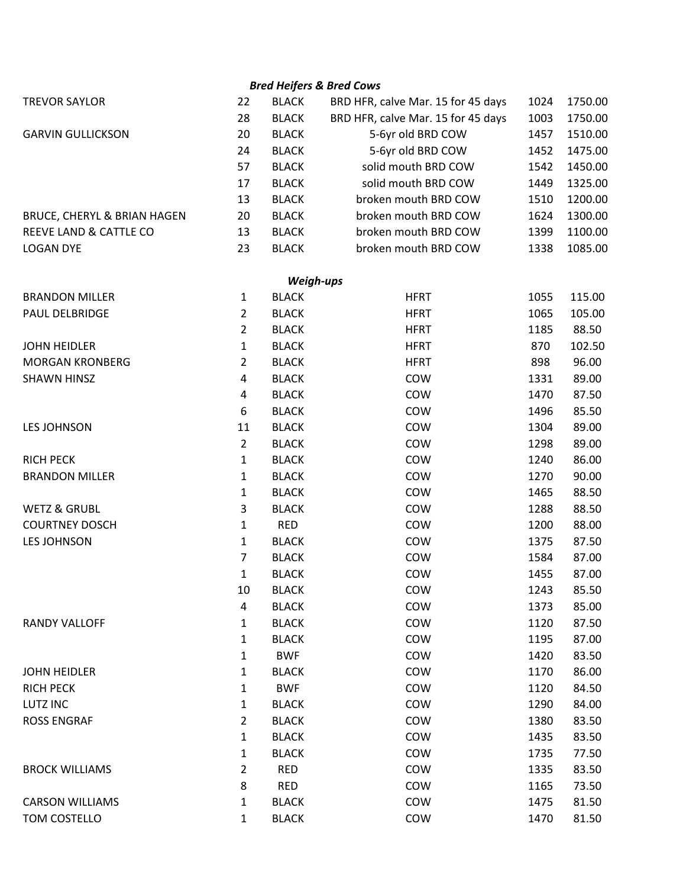|                             |                |              | <b>Bred Heifers &amp; Bred Cows</b> |      |         |
|-----------------------------|----------------|--------------|-------------------------------------|------|---------|
| <b>TREVOR SAYLOR</b>        | 22             | <b>BLACK</b> | BRD HFR, calve Mar. 15 for 45 days  | 1024 | 1750.00 |
|                             | 28             | <b>BLACK</b> | BRD HFR, calve Mar. 15 for 45 days  | 1003 | 1750.00 |
| <b>GARVIN GULLICKSON</b>    | 20             | <b>BLACK</b> | 5-6yr old BRD COW                   | 1457 | 1510.00 |
|                             | 24             | <b>BLACK</b> | 5-6yr old BRD COW                   | 1452 | 1475.00 |
|                             | 57             | <b>BLACK</b> | solid mouth BRD COW                 | 1542 | 1450.00 |
|                             | 17             | <b>BLACK</b> | solid mouth BRD COW                 | 1449 | 1325.00 |
|                             | 13             | <b>BLACK</b> | broken mouth BRD COW                | 1510 | 1200.00 |
| BRUCE, CHERYL & BRIAN HAGEN | 20             | <b>BLACK</b> | broken mouth BRD COW                | 1624 | 1300.00 |
| REEVE LAND & CATTLE CO      | 13             | <b>BLACK</b> | broken mouth BRD COW                | 1399 | 1100.00 |
| <b>LOGAN DYE</b>            | 23             | <b>BLACK</b> | broken mouth BRD COW                | 1338 | 1085.00 |
|                             |                | Weigh-ups    |                                     |      |         |
| <b>BRANDON MILLER</b>       | 1              | <b>BLACK</b> | <b>HFRT</b>                         | 1055 | 115.00  |
| PAUL DELBRIDGE              | $\overline{2}$ | <b>BLACK</b> | <b>HFRT</b>                         | 1065 | 105.00  |
|                             | $\overline{2}$ | <b>BLACK</b> | <b>HFRT</b>                         | 1185 | 88.50   |
| <b>JOHN HEIDLER</b>         | 1              | <b>BLACK</b> | <b>HFRT</b>                         | 870  | 102.50  |
| <b>MORGAN KRONBERG</b>      | 2              | <b>BLACK</b> | <b>HFRT</b>                         | 898  | 96.00   |
| <b>SHAWN HINSZ</b>          | 4              | <b>BLACK</b> | <b>COW</b>                          | 1331 | 89.00   |
|                             | 4              | <b>BLACK</b> | COW                                 | 1470 | 87.50   |
|                             | 6              | <b>BLACK</b> | COW                                 | 1496 | 85.50   |
| <b>LES JOHNSON</b>          | 11             | <b>BLACK</b> | COW                                 | 1304 | 89.00   |
|                             | $\overline{2}$ | <b>BLACK</b> | COW                                 | 1298 | 89.00   |
| <b>RICH PECK</b>            | 1              | <b>BLACK</b> | COW                                 | 1240 | 86.00   |
| <b>BRANDON MILLER</b>       | 1              | <b>BLACK</b> | COW                                 | 1270 | 90.00   |
|                             | 1              | <b>BLACK</b> | COW                                 | 1465 | 88.50   |
| <b>WETZ &amp; GRUBL</b>     | 3              | <b>BLACK</b> | COW                                 | 1288 | 88.50   |
| <b>COURTNEY DOSCH</b>       | $\mathbf{1}$   | <b>RED</b>   | COW                                 | 1200 | 88.00   |
| <b>LES JOHNSON</b>          | $\mathbf{1}$   | <b>BLACK</b> | COW                                 | 1375 | 87.50   |
|                             | 7              | <b>BLACK</b> | COW                                 | 1584 | 87.00   |
|                             | $\mathbf{1}$   | <b>BLACK</b> | COW                                 | 1455 | 87.00   |
|                             | 10             | <b>BLACK</b> | COW                                 | 1243 | 85.50   |
|                             | 4              | <b>BLACK</b> | COW                                 | 1373 | 85.00   |
| <b>RANDY VALLOFF</b>        | 1              | <b>BLACK</b> | COW                                 | 1120 | 87.50   |
|                             | 1              | <b>BLACK</b> | <b>COW</b>                          | 1195 | 87.00   |
|                             | 1              | <b>BWF</b>   | COW                                 | 1420 | 83.50   |
| <b>JOHN HEIDLER</b>         | 1              | <b>BLACK</b> | COW                                 | 1170 | 86.00   |
| <b>RICH PECK</b>            | $\mathbf{1}$   | <b>BWF</b>   | <b>COW</b>                          | 1120 | 84.50   |
| <b>LUTZ INC</b>             | 1              | <b>BLACK</b> | COW                                 | 1290 | 84.00   |
| <b>ROSS ENGRAF</b>          | 2              | <b>BLACK</b> | COW                                 | 1380 | 83.50   |
|                             | $\mathbf{1}$   | <b>BLACK</b> | COW                                 | 1435 | 83.50   |
|                             | 1              | <b>BLACK</b> | <b>COW</b>                          | 1735 | 77.50   |
| <b>BROCK WILLIAMS</b>       | 2              | <b>RED</b>   | COW                                 | 1335 | 83.50   |
|                             | 8              | <b>RED</b>   | COW                                 | 1165 | 73.50   |
| <b>CARSON WILLIAMS</b>      | $\mathbf{1}$   | <b>BLACK</b> | COW                                 | 1475 | 81.50   |
| TOM COSTELLO                | 1              | <b>BLACK</b> | COW                                 | 1470 | 81.50   |
|                             |                |              |                                     |      |         |